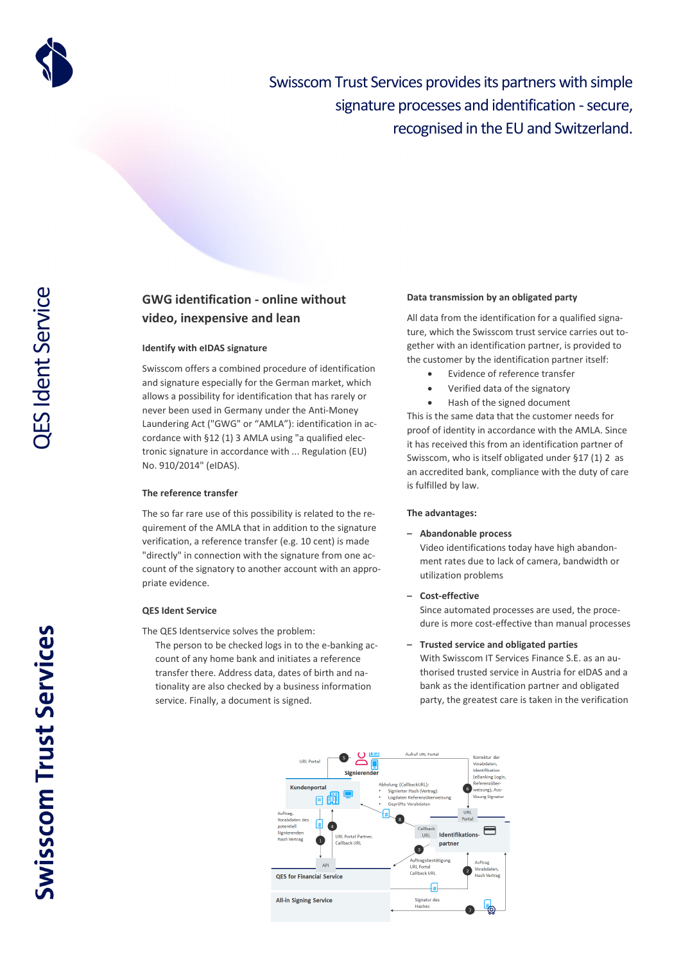

Swisscom Trust Services provides its partners with simple signature processes and identification - secure, recognised in the EU and Switzerland.

# **GWG identification - online without video, inexpensive and lean**

# **Identify with eIDAS signature**

Swisscom offers a combined procedure of identification and signature especially for the German market, which allows a possibility for identification that has rarely or never been used in Germany under the Anti-Money Laundering Act ("GWG" or "AMLA"): identification in accordance with §12 (1) 3 AMLA using "a qualified electronic signature in accordance with ... Regulation (EU) No. 910/2014" (eIDAS).

#### **The reference transfer**

The so far rare use of this possibility is related to the requirement of the AMLA that in addition to the signature verification, a reference transfer (e.g. 10 cent) is made "directly" in connection with the signature from one account of the signatory to another account with an appropriate evidence.

## **QES Ident Service**

The QES Identservice solves the problem:

The person to be checked logs in to the e-banking account of any home bank and initiates a reference transfer there. Address data, dates of birth and nationality are also checked by a business information service. Finally, a document is signed.

#### **Data transmission by an obligated party**

All data from the identification for a qualified signature, which the Swisscom trust service carries out together with an identification partner, is provided to the customer by the identification partner itself:

- Evidence of reference transfer
- Verified data of the signatory
- Hash of the signed document

This is the same data that the customer needs for proof of identity in accordance with the AMLA. Since it has received this from an identification partner of Swisscom, who is itself obligated under §17 (1) 2 as an accredited bank, compliance with the duty of care is fulfilled by law.

#### **The advantages:**

#### – **Abandonable process**

Video identifications today have high abandonment rates due to lack of camera, bandwidth or utilization problems

– **Cost-effective**

Since automated processes are used, the procedure is more cost-effective than manual processes

## – **Trusted service and obligated parties**

With Swisscom IT Services Finance S.E. as an authorised trusted service in Austria for eIDAS and a bank as the identification partner and obligated party, the greatest care is taken in the verification